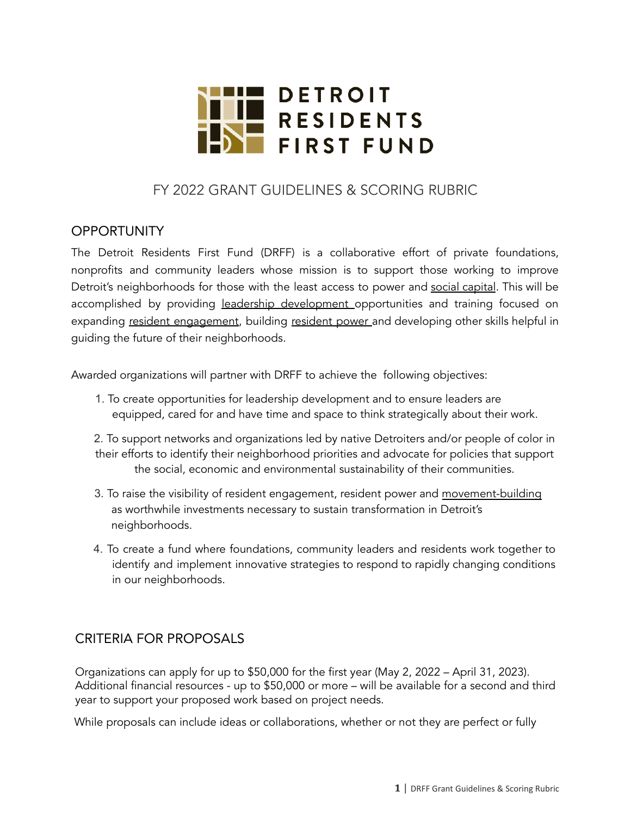

# FY 2022 GRANT GUIDELINES & SCORING RUBRIC

### **OPPORTUNITY**

The Detroit Residents First Fund (DRFF) is a collaborative effort of private foundations, nonprofits and community leaders whose mission is to support those working to improve Detroit's neighborhoods for those with the least access to power and social capital. This will be accomplished by providing leadership development opportunities and training focused on expanding resident engagement, building resident power and developing other skills helpful in guiding the future of their neighborhoods.

Awarded organizations will partner with DRFF to achieve the following objectives:

1. To create opportunities for leadership development and to ensure leaders are equipped, cared for and have time and space to think strategically about their work.

2. To support networks and organizations led by native Detroiters and/or people of color in their efforts to identify their neighborhood priorities and advocate for policies that support the social, economic and environmental sustainability of their communities.

- 3. To raise the visibility of resident engagement, resident power and movement-building as worthwhile investments necessary to sustain transformation in Detroit's neighborhoods.
- 4. To create a fund where foundations, community leaders and residents work together to identify and implement innovative strategies to respond to rapidly changing conditions in our neighborhoods.

### CRITERIA FOR PROPOSALS

Organizations can apply for up to \$50,000 for the first year (May 2, 2022 – April 31, 2023). Additional financial resources - up to \$50,000 or more – will be available for a second and third year to support your proposed work based on project needs.

While proposals can include ideas or collaborations, whether or not they are perfect or fully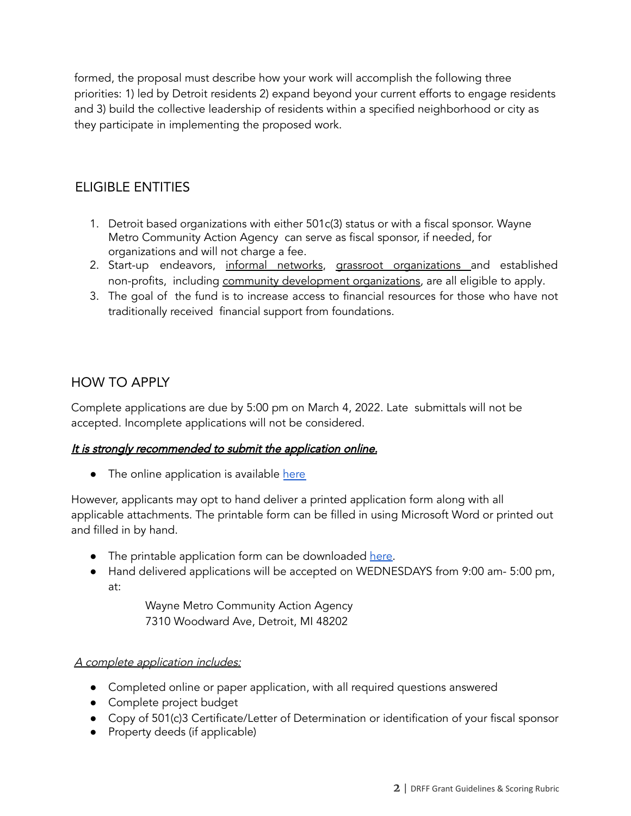formed, the proposal must describe how your work will accomplish the following three priorities: 1) led by Detroit residents 2) expand beyond your current efforts to engage residents and 3) build the collective leadership of residents within a specified neighborhood or city as they participate in implementing the proposed work.

# ELIGIBLE ENTITIES

- 1. Detroit based organizations with either 501c(3) status or with a fiscal sponsor. Wayne Metro Community Action Agency can serve as fiscal sponsor, if needed, for organizations and will not charge a fee.
- 2. Start-up endeavors, informal networks, grassroot organizations and established non-profits, including community development organizations, are all eligible to apply.
- 3. The goal of the fund is to increase access to financial resources for those who have not traditionally received financial support from foundations.

### HOW TO APPLY

Complete applications are due by 5:00 pm on March 4, 2022. Late submittals will not be accepted. Incomplete applications will not be considered.

#### It is strongly recommended to submit the application online.

• The online application is available [here](https://waynemetro.tfaforms.net/4849187)

However, applicants may opt to hand deliver a printed application form along with all applicable attachments. The printable form can be filled in using Microsoft Word or printed out and filled in by hand.

- The printable application form can be downloaded [here.](https://drffund.org/how-to-apply/)
- Hand delivered applications will be accepted on WEDNESDAYS from 9:00 am- 5:00 pm, at:

Wayne Metro Community Action Agency 7310 Woodward Ave, Detroit, MI 48202

#### A complete application includes:

- Completed online or paper application, with all required questions answered
- Complete project budget
- Copy of 501(c)3 Certificate/Letter of Determination or identification of your fiscal sponsor
- Property deeds (if applicable)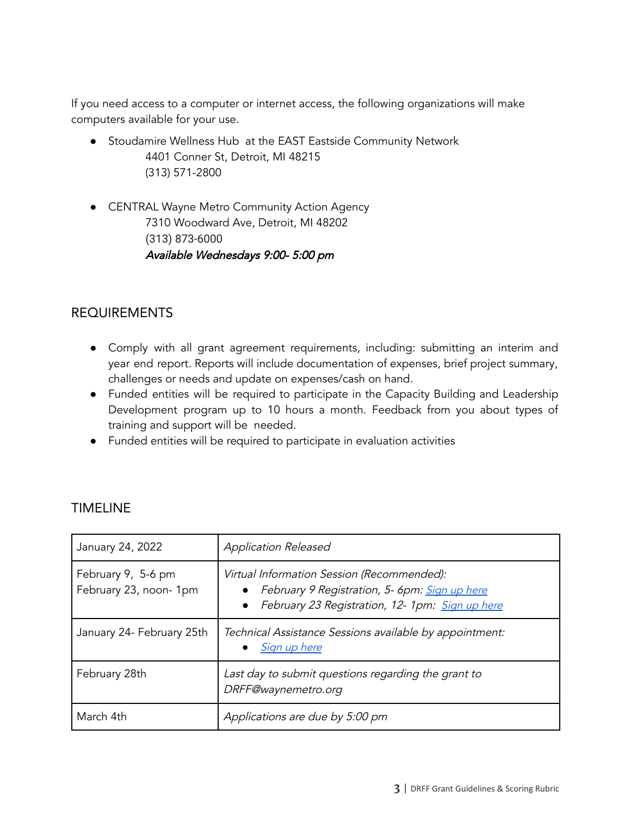If you need access to a computer or internet access, the following organizations will make computers available for your use.

- Stoudamire Wellness Hub at the EAST Eastside Community Network 4401 Conner St, Detroit, MI 48215 (313) 571-2800
- CENTRAL Wayne Metro Community Action Agency 7310 Woodward Ave, Detroit, MI 48202 (313) 873-6000 Available Wednesdays 9:00- 5:00 pm

# REQUIREMENTS

- Comply with all grant agreement requirements, including: submitting an interim and year end report. Reports will include documentation of expenses, brief project summary, challenges or needs and update on expenses/cash on hand.
- Funded entities will be required to participate in the Capacity Building and Leadership Development program up to 10 hours a month. Feedback from you about types of training and support will be needed.
- Funded entities will be required to participate in evaluation activities

| January 24, 2022                            | <b>Application Released</b>                                                                                                                    |
|---------------------------------------------|------------------------------------------------------------------------------------------------------------------------------------------------|
| February 9, 5-6 pm<br>February 23, noon-1pm | Virtual Information Session (Recommended):<br>February 9 Registration, 5- 6pm: Sign up here<br>February 23 Registration, 12- 1pm: Sign up here |
| January 24- February 25th                   | Technical Assistance Sessions available by appointment:<br>Sign up here                                                                        |
| February 28th                               | Last day to submit questions regarding the grant to<br>DRFF@waynemetro.org                                                                     |
| March 4th                                   | Applications are due by 5:00 pm                                                                                                                |

### TIMELINE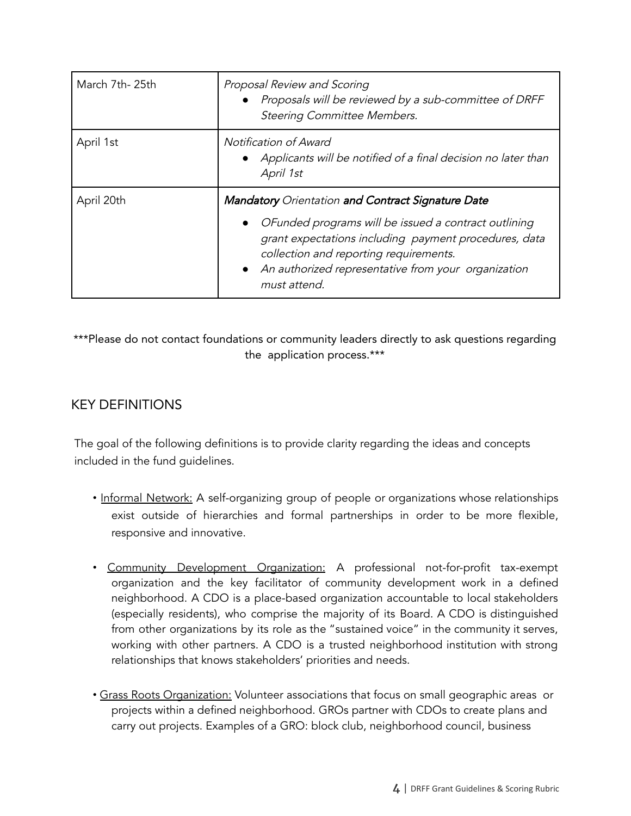| March 7th-25th | Proposal Review and Scoring<br>Proposals will be reviewed by a sub-committee of DRFF<br><b>Steering Committee Members.</b>                                                                                                                                                                                           |  |  |
|----------------|----------------------------------------------------------------------------------------------------------------------------------------------------------------------------------------------------------------------------------------------------------------------------------------------------------------------|--|--|
| April 1st      | Notification of Award<br>• Applicants will be notified of a final decision no later than<br>April 1st                                                                                                                                                                                                                |  |  |
| April 20th     | <b>Mandatory</b> Orientation and Contract Signature Date<br>OFunded programs will be issued a contract outlining<br>$\bullet$<br>grant expectations including payment procedures, data<br>collection and reporting requirements.<br>An authorized representative from your organization<br>$\bullet$<br>must attend. |  |  |

\*\*\*Please do not contact foundations or community leaders directly to ask questions regarding the application process.\*\*\*

# KEY DEFINITIONS

The goal of the following definitions is to provide clarity regarding the ideas and concepts included in the fund guidelines.

- Informal Network: A self-organizing group of people or organizations whose relationships exist outside of hierarchies and formal partnerships in order to be more flexible, responsive and innovative.
- Community Development Organization: A professional not-for-profit tax-exempt organization and the key facilitator of community development work in a defined neighborhood. A CDO is a place-based organization accountable to local stakeholders (especially residents), who comprise the majority of its Board. A CDO is distinguished from other organizations by its role as the "sustained voice" in the community it serves, working with other partners. A CDO is a trusted neighborhood institution with strong relationships that knows stakeholders' priorities and needs.
- Grass Roots Organization: Volunteer associations that focus on small geographic areas or projects within a defined neighborhood. GROs partner with CDOs to create plans and carry out projects. Examples of a GRO: block club, neighborhood council, business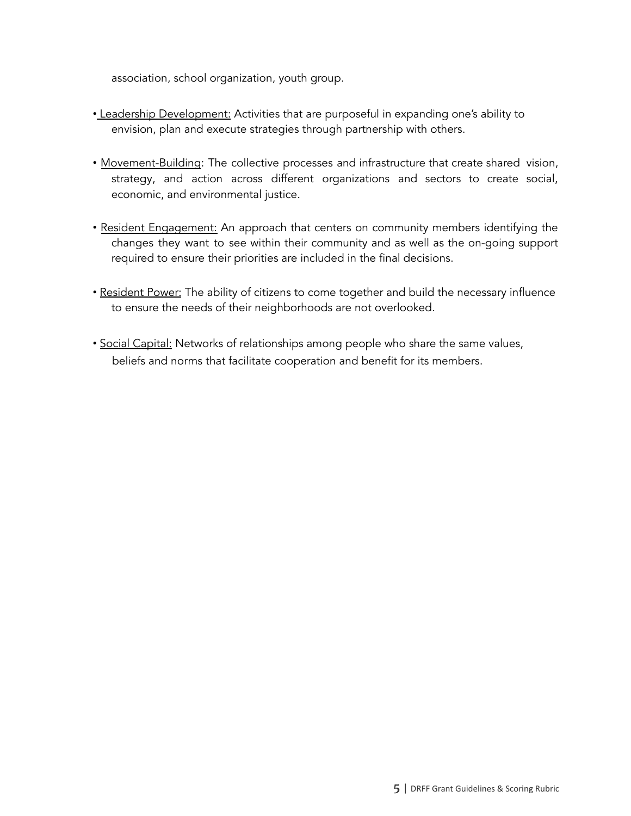association, school organization, youth group.

- Leadership Development: Activities that are purposeful in expanding one's ability to envision, plan and execute strategies through partnership with others.
- Movement-Building: The collective processes and infrastructure that create shared vision, strategy, and action across different organizations and sectors to create social, economic, and environmental justice.
- Resident Engagement: An approach that centers on community members identifying the changes they want to see within their community and as well as the on-going support required to ensure their priorities are included in the final decisions.
- Resident Power: The ability of citizens to come together and build the necessary influence to ensure the needs of their neighborhoods are not overlooked.
- Social Capital: Networks of relationships among people who share the same values, beliefs and norms that facilitate cooperation and benefit for its members.